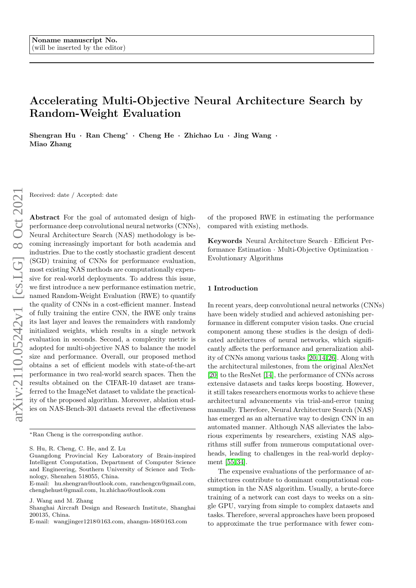# Accelerating Multi-Objective Neural Architecture Search by Random-Weight Evaluation

Shengran Hu · Ran Cheng<sup>∗</sup> · Cheng He · Zhichao Lu · Jing Wang · Miao Zhang

Received: date / Accepted: date

Abstract For the goal of automated design of highperformance deep convolutional neural networks (CNNs), Neural Architecture Search (NAS) methodology is becoming increasingly important for both academia and industries. Due to the costly stochastic gradient descent (SGD) training of CNNs for performance evaluation, most existing NAS methods are computationally expensive for real-world deployments. To address this issue, we first introduce a new performance estimation metric, named Random-Weight Evaluation (RWE) to quantify the quality of CNNs in a cost-efficient manner. Instead of fully training the entire CNN, the RWE only trains its last layer and leaves the remainders with randomly initialized weights, which results in a single network evaluation in seconds. Second, a complexity metric is adopted for multi-objective NAS to balance the model size and performance. Overall, our proposed method obtains a set of efficient models with state-of-the-art performance in two real-world search spaces. Then the results obtained on the CIFAR-10 dataset are transferred to the ImageNet dataset to validate the practicality of the proposed algorithm. Moreover, ablation studies on NAS-Bench-301 datasets reveal the effectiveness

E-mail: hu.shengran@outlook.com, ranchengcn@gmail.com, chenghehust@gmail.com, lu.zhichao@outlook.com

J. Wang and M. Zhang

of the proposed RWE in estimating the performance compared with existing methods.

Keywords Neural Architecture Search · Efficient Performance Estimation · Multi-Objective Optimization · Evolutionary Algorithms

# 1 Introduction

In recent years, deep convolutional neural networks (CNNs) have been widely studied and achieved astonishing performance in different computer vision tasks. One crucial component among these studies is the design of dedicated architectures of neural networks, which significantly affects the performance and generalization ability of CNNs among various tasks [\[20,](#page-8-0) [14,](#page-8-1) [26\]](#page-8-2). Along with the architectural milestones, from the original AlexNet [\[20\]](#page-8-0) to the ResNet [\[14\]](#page-8-1), the performance of CNNs across extensive datasets and tasks keeps boosting. However, it still takes researchers enormous works to achieve these architectural advancements via trial-and-error tuning manually. Therefore, Neural Architecture Search (NAS) has emerged as an alternative way to design CNN in an automated manner. Although NAS alleviates the laborious experiments by researchers, existing NAS algorithms still suffer from numerous computational overheads, leading to challenges in the real-world deployment [\[55,](#page-9-0) [34\]](#page-9-1).

The expensive evaluations of the performance of architectures contribute to dominant computational consumption in the NAS algorithm. Usually, a brute-force training of a network can cost days to weeks on a single GPU, varying from simple to complex datasets and tasks. Therefore, several approaches have been proposed to approximate the true performance with fewer com-

<sup>∗</sup>Ran Cheng is the corresponding author.

S. Hu, R. Cheng, C. He, and Z. Lu

Guangdong Provincial Key Laboratory of Brain-inspired Intelligent Computation, Department of Computer Science and Engineering, Southern University of Science and Technology, Shenzhen 518055, China.

Shanghai Aircraft Design and Research Institute, Shanghai 200135, China.

E-mail: wangjinger1218@163.com, zhangm-168@163.com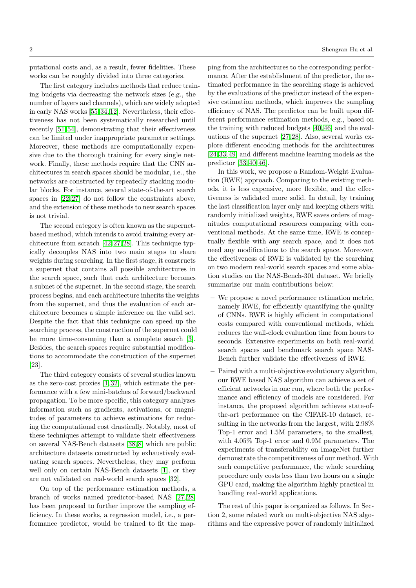putational costs and, as a result, fewer fidelities. These works can be roughly divided into three categories.

The first category includes methods that reduce training budgets via decreasing the network sizes (e.g., the number of layers and channels), which are widely adopted in early NAS works [\[55,](#page-9-0) [34,](#page-9-1) [12\]](#page-8-3). Nevertheless, their effectiveness has not been systematically researched until recently [\[51,](#page-9-2) [54\]](#page-9-3), demonstrating that their effectiveness can be limited under inappropriate parameter settings. Moreover, these methods are computationally expensive due to the thorough training for every single network. Finally, these methods require that the CNN architectures in search spaces should be modular, i.e., the networks are constructed by repeatedly stacking modular blocks. For instance, several state-of-the-art search spaces in  $[22, 27]$  $[22, 27]$  do not follow the constraints above, and the extension of these methods to new search spaces is not trivial.

The second category is often known as the supernetbased method, which intends to avoid training every architecture from scratch [\[42,](#page-9-5) [27,](#page-9-4) [28\]](#page-9-6). This technique typically decouples NAS into two main stages to share weights during searching. In the first stage, it constructs a supernet that contains all possible architectures in the search space, such that each architecture becomes a subnet of the supernet. In the second stage, the search process begins, and each architecture inherits the weights from the supernet, and thus the evaluation of each architecture becomes a simple inference on the valid set. Despite the fact that this technique can speed up the searching process, the construction of the supernet could be more time-consuming than a complete search [\[3\]](#page-8-5). Besides, the search spaces require substantial modifications to accommodate the construction of the supernet [\[23\]](#page-8-6).

The third category consists of several studies known as the zero-cost proxies [\[1,](#page-8-7) [32\]](#page-9-7), which estimate the performance with a few mini-batches of forward/backward propagation. To be more specific, this category analyzes information such as gradients, activations, or magnitudes of parameters to achieve estimations for reducing the computational cost drastically. Notably, most of these techniques attempt to validate their effectiveness on several NAS-Bench datasets [\[38,](#page-9-8) [8\]](#page-8-8) which are public architecture datasets constructed by exhaustively evaluating search spaces. Nevertheless, they may perform well only on certain NAS-Bench datasets [\[1\]](#page-8-7), or they are not validated on real-world search spaces [\[32\]](#page-9-7).

On top of the performance estimation methods, a branch of works named predictor-based NAS [\[27,](#page-9-4) [28\]](#page-9-6) has been proposed to further improve the sampling efficiency. In these works, a regression model, i.e., a performance predictor, would be trained to fit the map-

ping from the architectures to the corresponding performance. After the establishment of the predictor, the estimated performance in the searching stage is achieved by the evaluations of the predictor instead of the expensive estimation methods, which improves the sampling efficiency of NAS. The predictor can be built upon different performance estimation methods, e.g., based on the training with reduced budgets [\[40,](#page-9-9) [46\]](#page-9-10) and the evaluations of the supernet [\[27,](#page-9-4) [28\]](#page-9-6). Also, several works explore different encoding methods for the architectures [\[24,](#page-8-9) [33,](#page-9-11) [49\]](#page-9-12) and different machine learning models as the predictor [\[33,](#page-9-11) [40,](#page-9-9) [46\]](#page-9-10).

In this work, we propose a Random-Weight Evaluation (RWE) approach. Comparing to the existing methods, it is less expensive, more flexible, and the effectiveness is validated more solid. In detail, by training the last classification layer only and keeping others with randomly initialized weights, RWE saves orders of magnitudes computational resources comparing with conventional methods. At the same time, RWE is conceptually flexible with any search space, and it does not need any modifications to the search space. Moreover, the effectiveness of RWE is validated by the searching on two modern real-world search spaces and some ablation studies on the NAS-Bench-301 dataset. We briefly summarize our main contributions below:

- We propose a novel performance estimation metric, namely RWE, for efficiently quantifying the quality of CNNs. RWE is highly efficient in computational costs compared with conventional methods, which reduces the wall-clock evaluation time from hours to seconds. Extensive experiments on both real-world search spaces and benchmark search space NAS-Bench further validate the effectiveness of RWE.
- Paired with a multi-objective evolutionary algorithm, our RWE based NAS algorithm can achieve a set of efficient networks in one run, where both the performance and efficiency of models are considered. For instance, the proposed algorithm achieves state-ofthe-art performance on the CIFAR-10 dataset, resulting in the networks from the largest, with 2.98% Top-1 error and 1.5M parameters, to the smallest, with 4.05% Top-1 error and 0.9M parameters. The experiments of transferability on ImageNet further demonstrate the competitiveness of our method. With such competitive performance, the whole searching procedure only costs less than two hours on a single GPU card, making the algorithm highly practical in handling real-world applications.

The rest of this paper is organized as follows. In Section 2, some related work on multi-objective NAS algorithms and the expressive power of randomly initialized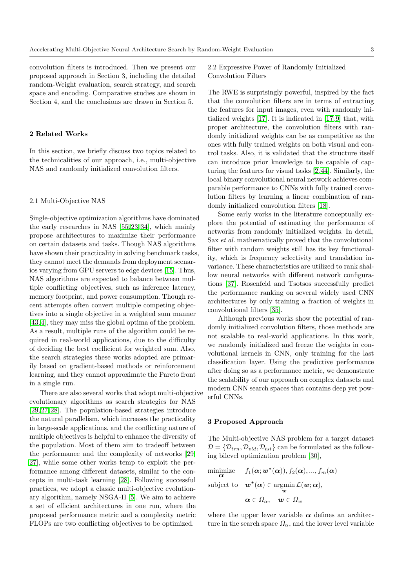convolution filters is introduced. Then we present our proposed approach in Section 3, including the detailed random-Weight evaluation, search strategy, and search space and encoding. Comparative studies are shown in Section 4, and the conclusions are drawn in Section 5.

# 2 Related Works

In this section, we briefly discuss two topics related to the technicalities of our approach, i.e., multi-objective NAS and randomly initialized convolution filters.

#### 2.1 Multi-Objective NAS

Single-objective optimization algorithms have dominated the early researches in NAS [\[55,](#page-9-0) [23,](#page-8-6) [34\]](#page-9-1), which mainly propose architectures to maximize their performance on certain datasets and tasks. Though NAS algorithms have shown their practicality in solving benchmark tasks, they cannot meet the demands from deployment scenarios varying from GPU servers to edge devices [\[15\]](#page-8-10). Thus, NAS algorithms are expected to balance between multiple conflicting objectives, such as inference latency, memory footprint, and power consumption. Though recent attempts often convert multiple competing objectives into a single objective in a weighted sum manner [\[43,](#page-9-13) [4\]](#page-8-11), they may miss the global optima of the problem. As a result, multiple runs of the algorithm could be required in real-world applications, due to the difficulty of deciding the best coefficient for weighted sum. Also, the search strategies these works adopted are primarily based on gradient-based methods or reinforcement learning, and they cannot approximate the Pareto front in a single run.

There are also several works that adopt multi-objective evolutionary algorithms as search strategies for NAS [\[29,](#page-9-14) [27,](#page-9-4) [28\]](#page-9-6). The population-based strategies introduce the natural parallelism, which increases the practicality in large-scale applications, and the conflicting nature of multiple objectives is helpful to enhance the diversity of the population. Most of them aim to tradeoff between the performance and the complexity of networks [\[29,](#page-9-14) [27\]](#page-9-4), while some other works temp to exploit the performance among different datasets, similar to the concepts in multi-task learning [\[28\]](#page-9-6). Following successful practices, we adopt a classic multi-objective evolutionary algorithm, namely NSGA-II [\[5\]](#page-8-12). We aim to achieve a set of efficient architectures in one run, where the proposed performance metric and a complexity metric FLOPs are two conflicting objectives to be optimized.

# 2.2 Expressive Power of Randomly Initialized Convolution Filters

The RWE is surprisingly powerful, inspired by the fact that the convolution filters are in terms of extracting the features for input images, even with randomly initialized weights [\[17\]](#page-8-13). It is indicated in [\[17,](#page-8-13) [9\]](#page-8-14) that, with proper architecture, the convolution filters with randomly initialized weights can be as competitive as the ones with fully trained weights on both visual and control tasks. Also, it is validated that the structure itself can introduce prior knowledge to be capable of capturing the features for visual tasks [\[2,](#page-8-15) [44\]](#page-9-15). Similarly, the local binary convolutional neural network achieves comparable performance to CNNs with fully trained convolution filters by learning a linear combination of randomly initialized convolution filters [\[18\]](#page-8-16).

Some early works in the literature conceptually explore the potential of estimating the performance of networks from randomly initialized weights. In detail, Sax et al. mathematically proved that the convolutional filter with random weights still has its key functionality, which is frequency selectivity and translation invariance. These characteristics are utilized to rank shallow neural networks with different network configurations [\[37\]](#page-9-16). Rosenfeld and Tsotsos successfully predict the performance ranking on several widely used CNN architectures by only training a fraction of weights in convolutional filters [\[35\]](#page-9-17).

Although previous works show the potential of randomly initialized convolution filters, those methods are not scalable to real-world applications. In this work, we randomly initialized and freeze the weights in convolutional kernels in CNN, only training for the last classification layer. Using the predictive performance after doing so as a performance metric, we demonstrate the scalability of our approach on complex datasets and modern CNN search spaces that contains deep yet powerful CNNs.

#### 3 Proposed Approach

The Multi-objective NAS problem for a target dataset  $D = \{D_{trn}, D_{vld}, D_{tst}\}\$ can be formulated as the following bilevel optimization problem [\[30\]](#page-9-18),

$$
\underset{\mathbf{\alpha}}{\text{minimize}} \quad f_1(\mathbf{\alpha}; \mathbf{w^*(\alpha)}), f_2(\mathbf{\alpha}), ..., f_m(\mathbf{\alpha})
$$

subject to  $\mathbf{w}^*(\alpha) \in \operatornamewithlimits{argmin}_{\mathbf{w}} \mathcal{L}(\mathbf{w}; \alpha),$ 

 $\alpha \in \Omega_{\alpha}, \quad w \in \Omega_{w}$ 

where the upper lever variable  $\alpha$  defines an architecture in the search space  $\Omega_{\alpha}$ , and the lower level variable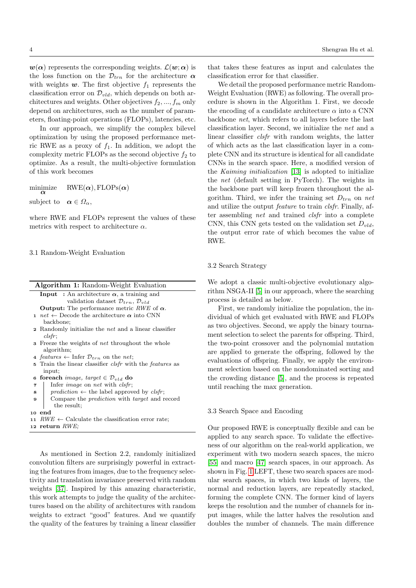$w(\alpha)$  represents the corresponding weights.  $\mathcal{L}(\boldsymbol{w}; \alpha)$  is the loss function on the  $\mathcal{D}_{trn}$  for the architecture  $\alpha$ with weights  $w$ . The first objective  $f_1$  represents the classification error on  $\mathcal{D}_{vld}$ , which depends on both architectures and weights. Other objectives  $f_2, ..., f_m$  only depend on architectures, such as the number of parameters, floating-point operations (FLOPs), latencies, etc.

In our approach, we simplify the complex bilevel optimization by using the proposed performance metric RWE as a proxy of  $f_1$ . In addition, we adopt the complexity metric FLOPs as the second objective  $f_2$  to optimize. As a result, the multi-objective formulation of this work becomes

 $\min_{\alpha}$  $RWE(\alpha)$ , FLOPs $(\alpha)$ subject to  $\alpha \in \Omega_{\alpha}$ ,

where RWE and FLOPs represent the values of these metrics with respect to architecture  $\alpha$ .

#### 3.1 Random-Weight Evaluation

| <b>Algorithm 1:</b> Random-Weight Evaluation                           |
|------------------------------------------------------------------------|
| <b>Input</b> : An architecture $\alpha$ , a training and               |
| validation dataset $\mathcal{D}_{trn}$ , $\mathcal{D}_{vld}$           |
| <b>Output:</b> The performance metric RWE of $\alpha$ .                |
| 1 net $\leftarrow$ Decode the architecture $\alpha$ into CNN           |
| backbone;                                                              |
| <b>2</b> Randomly initialize the <i>net</i> and a linear classifier    |
| clsfr:                                                                 |
| <b>3</b> Freeze the weights of <i>net</i> throughout the whole         |
| algorithm;                                                             |
| 4 features $\leftarrow$ Infer $\mathcal{D}_{trn}$ on the net;          |
| 5 Train the linear classifier <i>clsfr</i> with the <i>features</i> as |
| input:                                                                 |
| 6 foreach <i>image</i> , target $\in \mathcal{D}_{vld}$ do             |
|                                                                        |

- 7 | Infer *image* on *net* with *clsfr*;
- 8 prediction  $\leftarrow$  the label approved by clsfr;
- 9 Compare the *prediction* with *target* and record the result;
- <sup>10</sup> end
- 11 RWE  $\leftarrow$  Calculate the classification error rate;
- <sup>12</sup> return RWE;

As mentioned in Section 2.2, randomly initialized convolution filters are surprisingly powerful in extracting the features from images, due to the frequency selectivity and translation invariance preserved with random weights [\[37\]](#page-9-16). Inspired by this amazing characteristic, this work attempts to judge the quality of the architectures based on the ability of architectures with random weights to extract "good" features. And we quantify the quality of the features by training a linear classifier that takes these features as input and calculates the classification error for that classifier.

We detail the proposed performance metric Random-Weight Evaluation (RWE) as following. The overall procedure is shown in the Algorithm 1. First, we decode the encoding of a candidate architecture  $\alpha$  into a CNN backbone net, which refers to all layers before the last classification layer. Second, we initialize the net and a linear classifier clsfr with random weights, the latter of which acts as the last classification layer in a complete CNN and its structure is identical for all candidate CNNs in the search space. Here, a modified version of the Kaiming initialization [\[13\]](#page-8-17) is adopted to initialize the net (default setting in PyTorch). The weights in the backbone part will keep frozen throughout the algorithm. Third, we infer the training set  $D_{trn}$  on net and utilize the output feature to train clsfr. Finally, after assembling net and trained clsfr into a complete CNN, this CNN gets tested on the validation set  $D_{vld}$ , the output error rate of which becomes the value of RWE.

#### 3.2 Search Strategy

We adopt a classic multi-objective evolutionary algorithm NSGA-II [\[5\]](#page-8-12) in our approach, where the searching process is detailed as below.

First, we randomly initialize the population, the individual of which get evaluated with RWE and FLOPs as two objectives. Second, we apply the binary tournament selection to select the parents for offspring. Third, the two-point crossover and the polynomial mutation are applied to generate the offspring, followed by the evaluations of offspring. Finally, we apply the environment selection based on the nondominated sorting and the crowding distance [\[5\]](#page-8-12), and the process is repeated until reaching the max generation.

# 3.3 Search Space and Encoding

Our proposed RWE is conceptually flexible and can be applied to any search space. To validate the effectiveness of our algorithm on the real-world application, we experiment with two modern search spaces, the micro [\[55\]](#page-9-0) and macro [\[47\]](#page-9-19) search spaces, in our approach. As shown in Fig. [1](#page-4-0) LEFT, these two search spaces are modular search spaces, in which two kinds of layers, the normal and reduction layers, are repeatedly stacked, forming the complete CNN. The former kind of layers keeps the resolution and the number of channels for input images, while the latter halves the resolution and doubles the number of channels. The main difference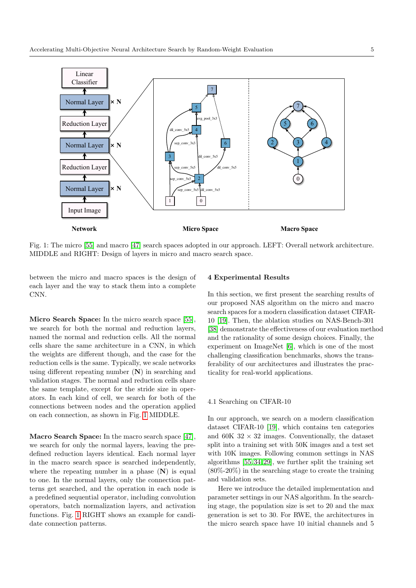<span id="page-4-0"></span>

Fig. 1: The micro [\[55\]](#page-9-0) and macro [\[47\]](#page-9-19) search spaces adopted in our approach. LEFT: Overall network architecture. MIDDLE and RIGHT: Design of layers in micro and macro search space.

between the micro and macro spaces is the design of each layer and the way to stack them into a complete CNN.

Micro Search Space: In the micro search space [\[55\]](#page-9-0), we search for both the normal and reduction layers, named the normal and reduction cells. All the normal cells share the same architecture in a CNN, in which the weights are different though, and the case for the reduction cells is the same. Typically, we scale networks using different repeating number  $(N)$  in searching and validation stages. The normal and reduction cells share the same template, except for the stride size in operators. In each kind of cell, we search for both of the connections between nodes and the operation applied on each connection, as shown in Fig. [1](#page-4-0) MIDDLE.

Macro Search Space: In the macro search space [\[47\]](#page-9-19), we search for only the normal layers, leaving the predefined reduction layers identical. Each normal layer in the macro search space is searched independently, where the repeating number in a phase  $(N)$  is equal to one. In the normal layers, only the connection patterns get searched, and the operation in each node is a predefined sequential operator, including convolution operators, batch normalization layers, and activation functions. Fig. [1](#page-4-0) RIGHT shows an example for candidate connection patterns.

#### 4 Experimental Results

In this section, we first present the searching results of our proposed NAS algorithm on the micro and macro search spaces for a modern classification dataset CIFAR-10 [\[19\]](#page-8-18). Then, the ablation studies on NAS-Bench-301 [\[38\]](#page-9-8) demonstrate the effectiveness of our evaluation method and the rationality of some design choices. Finally, the experiment on ImageNet [\[6\]](#page-8-19), which is one of the most challenging classification benchmarks, shows the transferability of our architectures and illustrates the practicality for real-world applications.

### 4.1 Searching on CIFAR-10

In our approach, we search on a modern classification dataset CIFAR-10 [\[19\]](#page-8-18), which contains ten categories and 60K  $32 \times 32$  images. Conventionally, the dataset split into a training set with 50K images and a test set with 10K images. Following common settings in NAS algorithms [\[55,](#page-9-0) [34,](#page-9-1) [29\]](#page-9-14), we further split the training set (80%-20%) in the searching stage to create the training and validation sets.

Here we introduce the detailed implementation and parameter settings in our NAS algorithm. In the searching stage, the population size is set to 20 and the max generation is set to 30. For RWE, the architectures in the micro search space have 10 initial channels and 5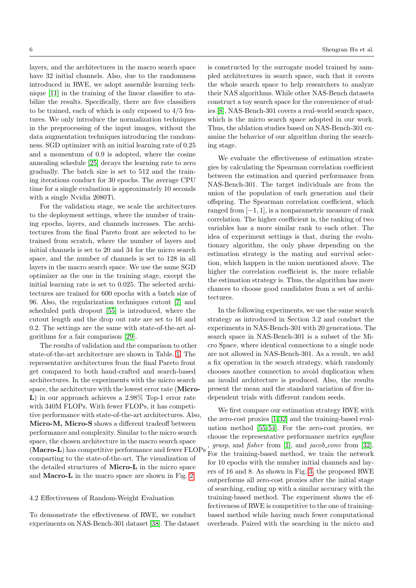layers, and the architectures in the macro search space have 32 initial channels. Also, due to the randomness introduced in RWE, we adopt assemble learning technique [\[11\]](#page-8-20) in the training of the linear classifier to stabilize the results. Specifically, there are five classifiers to be trained, each of which is only exposed to 4/5 features. We only introduce the normalization techniques in the preprocessing of the input images, without the data augmentation techniques introducing the randomness. SGD optimizer with an initial learning rate of 0.25 and a momentum of 0.9 is adopted, where the cosine annealing schedule [\[25\]](#page-8-21) decays the learning rate to zero gradually. The batch size is set to 512 and the training iterations conduct for 30 epochs. The average CPU time for a single evaluation is approximately 10 seconds with a single Nvidia 2080Ti.

For the validation stage, we scale the architectures to the deployment settings, where the number of training epochs, layers, and channels increases. The architectures from the final Pareto front are selected to be trained from scratch, where the number of layers and initial channels is set to 20 and 34 for the micro search space, and the number of channels is set to 128 in all layers in the macro search space. We use the same SGD optimizer as the one in the training stage, except the initial learning rate is set to 0.025. The selected architectures are trained for 600 epochs with a batch size of 96. Also, the regularization techniques cutout [\[7\]](#page-8-22) and scheduled path dropout [\[55\]](#page-9-0) is introduced, where the cutout length and the drop out rate are set to 16 and 0.2. The settings are the same with state-of-the-art algorithms for a fair comparison [\[29\]](#page-9-14).

The results of validation and the comparison to other state-of-the-art architecture are shown in Table. [1.](#page-6-0) The representative architectures from the final Pareto front get compared to both hand-crafted and search-based architectures. In the experiments with the micro search space, the architecture with the lowest error rate (Micro-L) in our approach achieves a 2.98% Top-1 error rate with 340M FLOPs. With fewer FLOPs, it has competitive performance with state-of-the-art architectures. Also, Micro-M, Micro-S shows a different tradeoff between performance and complexity. Similar to the micro search space, the chosen architecture in the macro search space (Macro-L) has competitive performance and fewer FLOPs comparting to the state-of-the-art. The visualization of the detailed structures of Micro-L in the micro space and Macro-L in the macro space are shown in Fig. [2.](#page-7-0)

#### 4.2 Effectiveness of Random-Weight Evaluation

To demonstrate the effectiveness of RWE, we conduct experiments on NAS-Bench-301 dataset [\[38\]](#page-9-8). The dataset is constructed by the surrogate model trained by sampled architectures in search space, such that it covers the whole search space to help researchers to analyze their NAS algorithms. While other NAS-Bench datasets construct a toy search space for the convenience of studies [\[8\]](#page-8-8), NAS-Bench-301 covers a real-world search space, which is the micro search space adopted in our work. Thus, the ablation studies based on NAS-Bench-301 examine the behavior of our algorithm during the searching stage.

We evaluate the effectiveness of estimation strategies by calculating the Spearman correlation coefficient between the estimation and queried performance from NAS-Bench-301. The target individuals are from the union of the population of each generation and their offspring. The Spearman correlation coefficient, which ranged from  $[-1, 1]$ , is a nonparametric measure of rank correlation. The higher coefficient is, the ranking of two variables has a more similar rank to each other. The idea of experiment settings is that, during the evolutionary algorithm, the only phase depending on the estimation strategy is the mating and survival selection, which happen in the union mentioned above. The higher the correlation coefficient is, the more reliable the estimation strategy is. Thus, the algorithm has more chances to choose good candidates from a set of architectures.

In the following experiments, we use the same search strategy as introduced in Section 3.2 and conduct the experiments in NAS-Bench-301 with 20 generations. The search space in NAS-Bench-301 is a subset of the Micro Space, where identical connections to a single node are not allowed in NAS-Bench-301. As a result, we add a fix operation in the search strategy, which randomly chooses another connection to avoid duplication when an invalid architecture is produced. Also, the results present the mean and the standard variation of five independent trials with different random seeds.

We first compare our estimation strategy RWE with the zero-cost proxies [\[1,](#page-8-7) [32\]](#page-9-7) and the training-based evaluation method [\[55,](#page-9-0) [54\]](#page-9-3). For the zero-cost proxies, we choose the representative performance metrics synflow *grasp*, and *fisher* from [\[1\]](#page-8-7), and *jacob\_conv* from [\[32\]](#page-9-7). For the training-based method, we train the network for 10 epochs with the number initial channels and layers of 16 and 8. As shown in Fig. [3,](#page-7-1) the proposed RWE outperforms all zero-cost proxies after the initial stage of searching, ending up with a similar accuracy with the training-based method. The experiment shows the effectiveness of RWE is competitive to the one of trainingbased method while having much fewer computational overheads. Paired with the searching in the micro and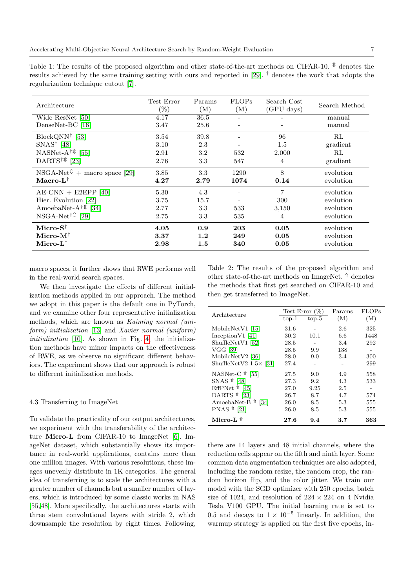<span id="page-6-0"></span>Table 1: The results of the proposed algorithm and other state-of-the-art methods on CIFAR-10.  $\mathbb{R}$  denotes the results achieved by the same training setting with ours and reported in [\[29\]](#page-9-14). † denotes the work that adopts the regularization technique cutout [\[7\]](#page-8-22).

| Architecture                                                            | Test Error<br>$(\%)$ | Params<br>(M) | <b>FLOPs</b><br>(M) | Search Cost<br>(GPU days) | Search Method |
|-------------------------------------------------------------------------|----------------------|---------------|---------------------|---------------------------|---------------|
| Wide ResNet [50]                                                        | 4.17                 | 36.5          |                     |                           | manual        |
| DenseNet-BC [16]                                                        | 3.47                 | 25.6          |                     |                           | manual        |
| $BlockQNN^{\dagger}$ [53]                                               | 3.54                 | 39.8          |                     | 96                        | RL            |
| $SNAS^{\dagger}$ [48]                                                   | 3.10                 | 2.3           |                     | 1.5                       | gradient      |
| NASNet-A <sup><math>\dagger</math><math>\$</math></sup> [55]            | 2.91                 | 3.2           | 532                 | 2,000                     | RL            |
| DARTS <sup><math>\uparrow</math><math>\mathbb{C}</math> [23]</sup>      | 2.76                 | 3.3           | 547                 | 4                         | gradient      |
| $NSGA-Net^{\textcircled{1}} + \text{macro space } [29]$                 | 3.85                 | 3.3           | 1290                | 8                         | evolution     |
| $Macro-L^{\dagger}$                                                     | 4.27                 | 2.79          | 1074                | 0.14                      | evolution     |
| $AE-CNN + E2EPP$ [40]                                                   | 5.30                 | 4.3           |                     | $\overline{7}$            | evolution     |
| Hier. Evolution [22]                                                    | 3.75                 | 15.7          |                     | 300                       | evolution     |
| AmoebaNet-A <sup><math>\dagger</math> [34]</sup>                        | 2.77                 | 3.3           | 533                 | 3,150                     | evolution     |
| NSGA-Net <sup><math>\uparrow</math><math>\updownarrow</math></sup> [29] | 2.75                 | 3.3           | 535                 | 4                         | evolution     |
| Micro- $S^{\dagger}$                                                    | 4.05                 | 0.9           | 203                 | 0.05                      | evolution     |
| Micro- $M^{\dagger}$                                                    | 3.37                 | 1.2           | 249                 | 0.05                      | evolution     |
| Micro- $L^{\dagger}$                                                    | 2.98                 | 1.5           | 340                 | 0.05                      | evolution     |

macro spaces, it further shows that RWE performs well in the real-world search spaces.

We then investigate the effects of different initialization methods applied in our approach. The method we adopt in this paper is the default one in PyTorch, and we examine other four representative initialization methods, which are known as Kaiming normal (uniform) initialization [\[13\]](#page-8-17) and Xavier normal (uniform) initialization [\[10\]](#page-8-24). As shown in Fig. [4,](#page-7-2) the initialization methods have minor impacts on the effectiveness of RWE, as we observe no significant different behaviors. The experiment shows that our approach is robust to different initialization methods.

# 4.3 Transferring to ImageNet

To validate the practicality of our output architectures, we experiment with the transferability of the architecture Micro-L from CIFAR-10 to ImageNet [\[6\]](#page-8-19). ImageNet dataset, which substantially shows its importance in real-world applications, contains more than one million images. With various resolutions, these images unevenly distribute in 1K categories. The general idea of transferring is to scale the architectures with a greater number of channels but a smaller number of layers, which is introduced by some classic works in NAS [\[55,](#page-9-0) [48\]](#page-9-22). More specifically, the architectures starts with three stem convolutional layers with stride 2, which downsample the resolution by eight times. Following, <span id="page-6-1"></span>Table 2: The results of the proposed algorithm and other state-of-the-art methods on ImageNet.  $\uparrow$  denotes the methods that first get searched on CIFAR-10 and then get transferred to ImageNet.

| Architecture                  |         | Test Error $(\%)$ | Params | <b>FLOPs</b> |
|-------------------------------|---------|-------------------|--------|--------------|
|                               | $top-1$ | $top-5$           | (M)    | (M)          |
| MobileNet $V1$ [15]           | 31.6    |                   | 2.6    | 325          |
| Inception $V1$ [41]           | 30.2    | 10.1              | 6.6    | 1448         |
| ShuffleNetV1 [52]             | 28.5    |                   | 3.4    | 292          |
| VGG [39]                      | 28.5    | 9.9               | 138    |              |
| MobileNet $V2$ [36]           | 28.0    | 9.0               | 3.4    | 300          |
| ShuffleNetV2 $1.5\times$ [31] | 27.4    |                   |        | 299          |
| NASNet-C $\uparrow$ [55]      | 27.5    | 9.0               | 4.9    | 558          |
| SNAS $\uparrow$ [48]          | 27.3    | 9.2               | 4.3    | 533          |
| EffPNet $\uparrow$ [45]       | 27.0    | 9.25              | 2.5    |              |
| DARTS $\uparrow$ [23]         | 26.7    | 8.7               | 4.7    | 574          |
| AmoebaNet-B $\uparrow$ [34]   | 26.0    | 8.5               | 5.3    | 555          |
| PNAS $\Uparrow$ [21]          | 26.0    | 8.5               | 5.3    | 555          |
| Micro-L $^{\Uparrow}$         | 27.6    | 9.4               | 3.7    | 363          |

there are 14 layers and 48 initial channels, where the reduction cells appear on the fifth and ninth layer. Some common data augmentation techniques are also adopted, including the random resize, the random crop, the random horizon flip, and the color jitter. We train our model with the SGD optimizer with 250 epochs, batch size of 1024, and resolution of  $224 \times 224$  on 4 Nvidia Tesla V100 GPU. The initial learning rate is set to 0.5 and decays to  $1 \times 10^{-5}$  linearly. In addition, the warmup strategy is applied on the first five epochs, in-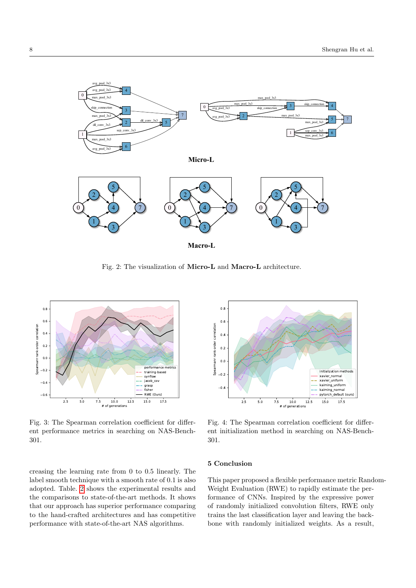<span id="page-7-0"></span>

Fig. 2: The visualization of Micro-L and Macro-L architecture.

<span id="page-7-1"></span>

Fig. 3: The Spearman correlation coefficient for different performance metrics in searching on NAS-Bench-301.

creasing the learning rate from 0 to 0.5 linearly. The label smooth technique with a smooth rate of 0.1 is also adopted. Table. [2](#page-6-1) shows the experimental results and the comparisons to state-of-the-art methods. It shows that our approach has superior performance comparing to the hand-crafted architectures and has competitive performance with state-of-the-art NAS algorithms.

<span id="page-7-2"></span>

Fig. 4: The Spearman correlation coefficient for different initialization method in searching on NAS-Bench-301.

# 5 Conclusion

This paper proposed a flexible performance metric Random-Weight Evaluation (RWE) to rapidly estimate the performance of CNNs. Inspired by the expressive power of randomly initialized convolution filters, RWE only trains the last classification layer and leaving the backbone with randomly initialized weights. As a result,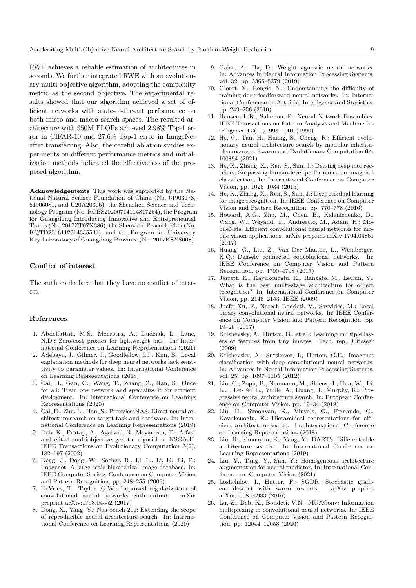RWE achieves a reliable estimation of architectures in seconds. We further integrated RWE with an evolutionary multi-objective algorithm, adopting the complexity metric as the second objective. The experimental results showed that our algorithm achieved a set of efficient networks with state-of-the-art performance on both micro and macro search spaces. The resulted architecture with 350M FLOPs achieved 2.98% Top-1 error in CIFAR-10 and 27.6% Top-1 error in ImageNet after transferring. Also, the careful ablation studies experiments on different performance metrics and initialization methods indicated the effectiveness of the proposed algorithm.

Acknowledgements This work was supported by the National Natural Science Foundation of China (No. 61903178, 61906081, and U20A20306), the Shenzhen Science and Technology Program (No. RCBS20200714114817264), the Program for Guangdong Introducing Innovative and Entrepreneurial Teams (No. 2017ZT07X386), the Shenzhen Peacock Plan (No. KQTD2016112514355531), and the Program for University Key Laboratory of Guangdong Province (No. 2017KSYS008).

# Conflict of interest

The authors declare that they have no conflict of interest.

#### References

- <span id="page-8-7"></span>1. Abdelfattah, M.S., Mehrotra, A., Dudziak, L., Lane, N.D.: Zero-cost proxies for lightweight nas. In: International Conference on Learning Representations (2021)
- <span id="page-8-15"></span>2. Adebayo, J., Gilmer, J., Goodfellow, I.J., Kim, B.: Local explanation methods for deep neural networks lack sensitivity to parameter values. In: International Conference on Learning Representations (2018)
- <span id="page-8-5"></span>3. Cai, H., Gan, C., Wang, T., Zhang, Z., Han, S.: Once for all: Train one network and specialize it for efficient deployment. In: International Conference on Learning Representations (2020)
- <span id="page-8-11"></span>4. Cai, H., Zhu, L., Han, S.: ProxylessNAS: Direct neural architecture search on target task and hardware. In: International Conference on Learning Representations (2019)
- <span id="page-8-12"></span>5. Deb, K., Pratap, A., Agarwal, S., Meyarivan, T.: A fast and elitist multiobjective genetic algorithm: NSGA-II. IEEE Transactions on Evolutionary Computation 6(2), 182–197 (2002)
- <span id="page-8-19"></span>6. Deng, J., Dong, W., Socher, R., Li, L., Li, K., Li, F.: Imagenet: A large-scale hierarchical image database. In: IEEE Computer Society Conference on Computer Vision and Pattern Recognition, pp. 248–255 (2009)
- <span id="page-8-22"></span>7. DeVries, T., Taylor, G.W.: Improved regularization of convolutional neural networks with cutout. arXiv preprint arXiv:1708.04552 (2017)
- <span id="page-8-8"></span>8. Dong, X., Yang, Y.: Nas-bench-201: Extending the scope of reproducible neural architecture search. In: International Conference on Learning Representations (2020)
- <span id="page-8-14"></span>9. Gaier, A., Ha, D.: Weight agnostic neural networks. In: Advances in Neural Information Processing Systems, vol. 32, pp. 5365–5379 (2019)
- <span id="page-8-24"></span>10. Glorot, X., Bengio, Y.: Understanding the difficulty of training deep feedforward neural networks. In: International Conference on Artificial Intelligence and Statistics, pp. 249–256 (2010)
- <span id="page-8-20"></span>11. Hansen, L.K., Salamon, P.: Neural Network Ensembles. IEEE Transactions on Pattern Analysis and Machine Intelligence 12(10), 993–1001 (1990)
- <span id="page-8-3"></span>12. He, C., Tan, H., Huang, S., Cheng, R.: Efficient evolutionary neural architecture search by modular inheritable crossover. Swarm and Evolutionary Computation 64, 100894 (2021)
- <span id="page-8-17"></span>13. He, K., Zhang, X., Ren, S., Sun, J.: Delving deep into rectifiers: Surpassing human-level performance on imagenet classification. In: International Conference on Computer Vision, pp. 1026–1034 (2015)
- <span id="page-8-1"></span>14. He, K., Zhang, X., Ren, S., Sun, J.: Deep residual learning for image recognition. In: IEEE Conference on Computer Vision and Pattern Recognition, pp. 770–778 (2016)
- <span id="page-8-10"></span>15. Howard, A.G., Zhu, M., Chen, B., Kalenichenko, D., Wang, W., Weyand, T., Andreetto, M., Adam, H.: MobileNets: Efficient convolutional neural networks for mobile vision applications. arXiv preprint arXiv:1704.04861 (2017)
- <span id="page-8-23"></span>16. Huang, G., Liu, Z., Van Der Maaten, L., Weinberger, K.Q.: Densely connected convolutional networks. In: IEEE Conference on Computer Vision and Pattern Recognition, pp. 4700–4708 (2017)
- <span id="page-8-13"></span>17. Jarrett, K., Kavukcuoglu, K., Ranzato, M., LeCun, Y.: What is the best multi-stage architecture for object recognition? In: International Conference on Computer Vision, pp. 2146–2153. IEEE (2009)
- <span id="page-8-16"></span>18. Juefei-Xu, F., Naresh Boddeti, V., Savvides, M.: Local binary convolutional neural networks. In: IEEE Conference on Computer Vision and Pattern Recognition, pp. 19–28 (2017)
- <span id="page-8-18"></span>19. Krizhevsky, A., Hinton, G., et al.: Learning multiple layers of features from tiny images. Tech. rep., Citeseer (2009)
- <span id="page-8-0"></span>20. Krizhevsky, A., Sutskever, I., Hinton, G.E.: Imagenet classification with deep convolutional neural networks. In: Advances in Neural Information Processing Systems, vol. 25, pp. 1097–1105 (2012)
- <span id="page-8-25"></span>21. Liu, C., Zoph, B., Neumann, M., Shlens, J., Hua, W., Li, L.J., Fei-Fei, L., Yuille, A., Huang, J., Murphy, K.: Progressive neural architecture search. In: European Conference on Computer Vision, pp. 19–34 (2018)
- <span id="page-8-4"></span>22. Liu, H., Simonyan, K., Vinyals, O., Fernando, C., Kavukcuoglu, K.: Hierarchical representations for efficient architecture search. In: International Conference on Learning Representations (2018)
- <span id="page-8-6"></span>23. Liu, H., Simonyan, K., Yang, Y.: DARTS: Differentiable architecture search. In: International Conference on Learning Representations (2019)
- <span id="page-8-9"></span>24. Liu, Y., Tang, Y., Sun, Y.: Homogeneous architecture augmentation for neural predictor. In: International Conference on Computer Vision (2021)
- <span id="page-8-21"></span>25. Loshchilov, I., Hutter, F.: SGDR: Stochastic gradient descent with warm restarts. arXiv preprint arXiv:1608.03983 (2016)
- <span id="page-8-2"></span>26. Lu, Z., Deb, K., Boddeti, V.N.: MUXConv: Information multiplexing in convolutional neural networks. In: IEEE Conference on Computer Vision and Pattern Recognition, pp. 12044–12053 (2020)